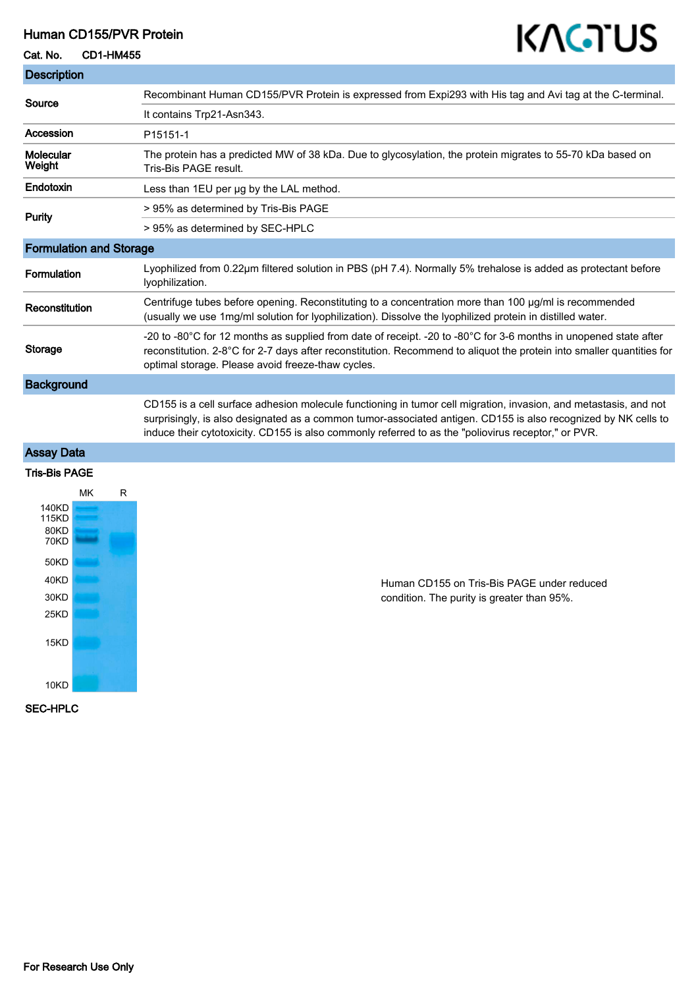#### Human CD155/PVR Protein

#### Cat. No. CD1-HM455

# KAGTUS

| <b>Description</b>             |                                                                                                                                                                                                                                                                                                                                           |
|--------------------------------|-------------------------------------------------------------------------------------------------------------------------------------------------------------------------------------------------------------------------------------------------------------------------------------------------------------------------------------------|
| Source                         | Recombinant Human CD155/PVR Protein is expressed from Expi293 with His tag and Avi tag at the C-terminal.                                                                                                                                                                                                                                 |
|                                | It contains Trp21-Asn343.                                                                                                                                                                                                                                                                                                                 |
| Accession                      | P15151-1                                                                                                                                                                                                                                                                                                                                  |
| Molecular<br>Weight            | The protein has a predicted MW of 38 kDa. Due to glycosylation, the protein migrates to 55-70 kDa based on<br>Tris-Bis PAGE result.                                                                                                                                                                                                       |
| Endotoxin                      | Less than 1EU per ug by the LAL method.                                                                                                                                                                                                                                                                                                   |
| Purity                         | > 95% as determined by Tris-Bis PAGE                                                                                                                                                                                                                                                                                                      |
|                                | > 95% as determined by SEC-HPLC                                                                                                                                                                                                                                                                                                           |
| <b>Formulation and Storage</b> |                                                                                                                                                                                                                                                                                                                                           |
| Formulation                    | Lyophilized from 0.22µm filtered solution in PBS (pH 7.4). Normally 5% trehalose is added as protectant before<br>lyophilization.                                                                                                                                                                                                         |
| Reconstitution                 | Centrifuge tubes before opening. Reconstituting to a concentration more than 100 µg/ml is recommended<br>(usually we use 1mg/ml solution for lyophilization). Dissolve the lyophilized protein in distilled water.                                                                                                                        |
| <b>Storage</b>                 | -20 to -80°C for 12 months as supplied from date of receipt. -20 to -80°C for 3-6 months in unopened state after<br>reconstitution. 2-8°C for 2-7 days after reconstitution. Recommend to aliquot the protein into smaller quantities for<br>optimal storage. Please avoid freeze-thaw cycles.                                            |
| <b>Background</b>              |                                                                                                                                                                                                                                                                                                                                           |
|                                | CD155 is a cell surface adhesion molecule functioning in tumor cell migration, invasion, and metastasis, and not<br>surprisingly, is also designated as a common tumor-associated antigen. CD155 is also recognized by NK cells to<br>induce their cytotoxicity. CD155 is also commonly referred to as the "poliovirus receptor," or PVR. |
| <b>Assay Data</b>              |                                                                                                                                                                                                                                                                                                                                           |
| <b>Tris-Bis PAGE</b>           |                                                                                                                                                                                                                                                                                                                                           |
| MK<br>R                        |                                                                                                                                                                                                                                                                                                                                           |



Human CD155 on Tris-Bis PAGE under reduced condition. The purity is greater than 95%.

SEC-HPLC